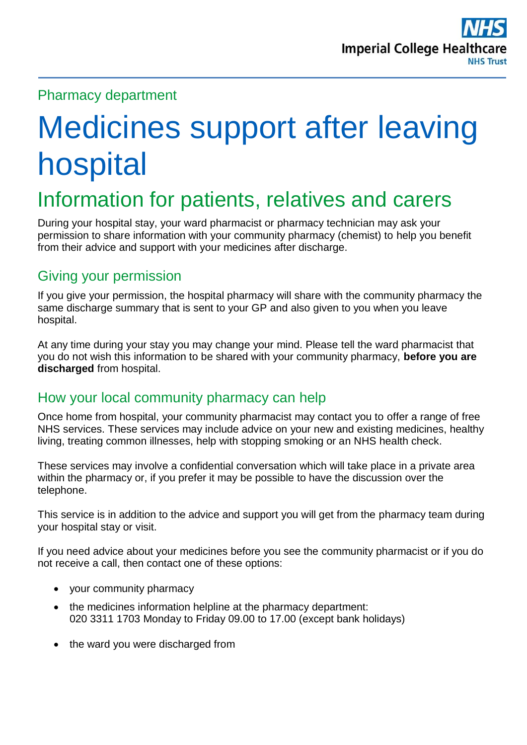### Pharmacy department

# Medicines support after leaving hospital

# Information for patients, relatives and carers

During your hospital stay, your ward pharmacist or pharmacy technician may ask your permission to share information with your community pharmacy (chemist) to help you benefit from their advice and support with your medicines after discharge.

#### Giving your permission

If you give your permission, the hospital pharmacy will share with the community pharmacy the same discharge summary that is sent to your GP and also given to you when you leave hospital.

At any time during your stay you may change your mind. Please tell the ward pharmacist that you do not wish this information to be shared with your community pharmacy, **before you are discharged** from hospital.

# How your local community pharmacy can help

Once home from hospital, your community pharmacist may contact you to offer a range of free NHS services. These services may include advice on your new and existing medicines, healthy living, treating common illnesses, help with stopping smoking or an NHS health check.

These services may involve a confidential conversation which will take place in a private area within the pharmacy or, if you prefer it may be possible to have the discussion over the telephone.

This service is in addition to the advice and support you will get from the pharmacy team during your hospital stay or visit.

If you need advice about your medicines before you see the community pharmacist or if you do not receive a call, then contact one of these options:

- your community pharmacy
- the medicines information helpline at the pharmacy department: 020 3311 1703 Monday to Friday 09.00 to 17.00 (except bank holidays)
- the ward you were discharged from